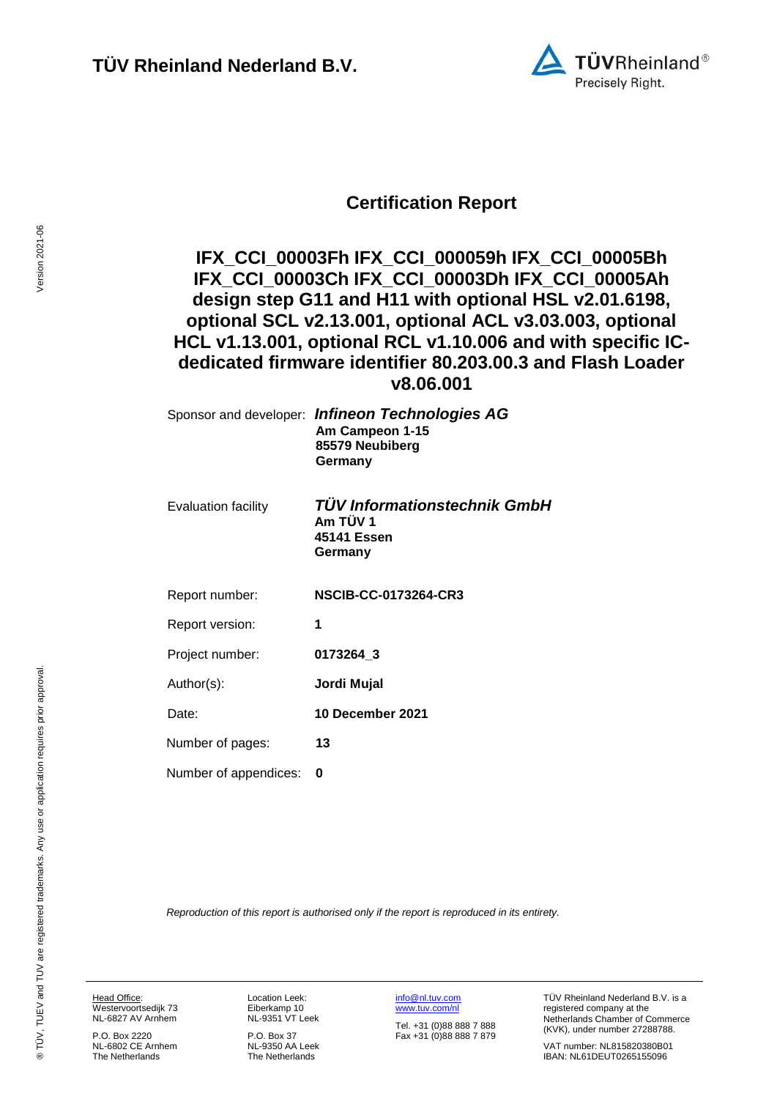

### **Certification Report**

### **IFX\_CCI\_00003Fh IFX\_CCI\_000059h IFX\_CCI\_00005Bh IFX\_CCI\_00003Ch IFX\_CCI\_00003Dh IFX\_CCI\_00005Ah design step G11 and H11 with optional HSL v2.01.6198, optional SCL v2.13.001, optional ACL v3.03.003, optional HCL v1.13.001, optional RCL v1.10.006 and with specific ICdedicated firmware identifier 80.203.00.3 and Flash Loader v8.06.001**

<span id="page-0-3"></span><span id="page-0-1"></span><span id="page-0-0"></span>

|                            | Sponsor and developer: Infineon Technologies AG<br>Am Campeon 1-15<br>85579 Neubiberg<br>Germany |
|----------------------------|--------------------------------------------------------------------------------------------------|
| <b>Evaluation facility</b> | <b>TUV Informationstechnik GmbH</b><br>Am TÜV 1<br>45141 Essen<br>Germany                        |
| Report number:             | <b>NSCIB-CC-0173264-CR3</b>                                                                      |
| Report version:            | 1                                                                                                |
| Project number:            | 0173264_3                                                                                        |
| Author(s):                 | Jordi Mujal                                                                                      |
| Date:                      | 10 December 2021                                                                                 |
| Number of pages:           | 13                                                                                               |
| Number of appendices:      | 0                                                                                                |

<span id="page-0-2"></span>*Reproduction of this report is authorised only if the report is reproduced in its entirety.*

Head Office: Westervoortsedijk 73 NL-6827 AV Arnhem

P.O. Box 2220 NL-6802 CE Arnhem The Netherlands

Location Leek: Eiberkamp 10 NL-9351 VT Leek

P.O. Box 37 NL-9350 AA Leek The Netherlands

[info@nl.tuv.com](mailto:info@nl.tuv.com) [www.tuv.com/nl](http://www.tuv.com/nl)

Tel. +31 (0)88 888 7 888 Fax +31 (0)88 888 7 879 TÜV Rheinland Nederland B.V. is a registered company at the Netherlands Chamber of Commerce (KVK), under number 27288788.

VAT number: NL815820380B01 IBAN: NL61DEUT0265155096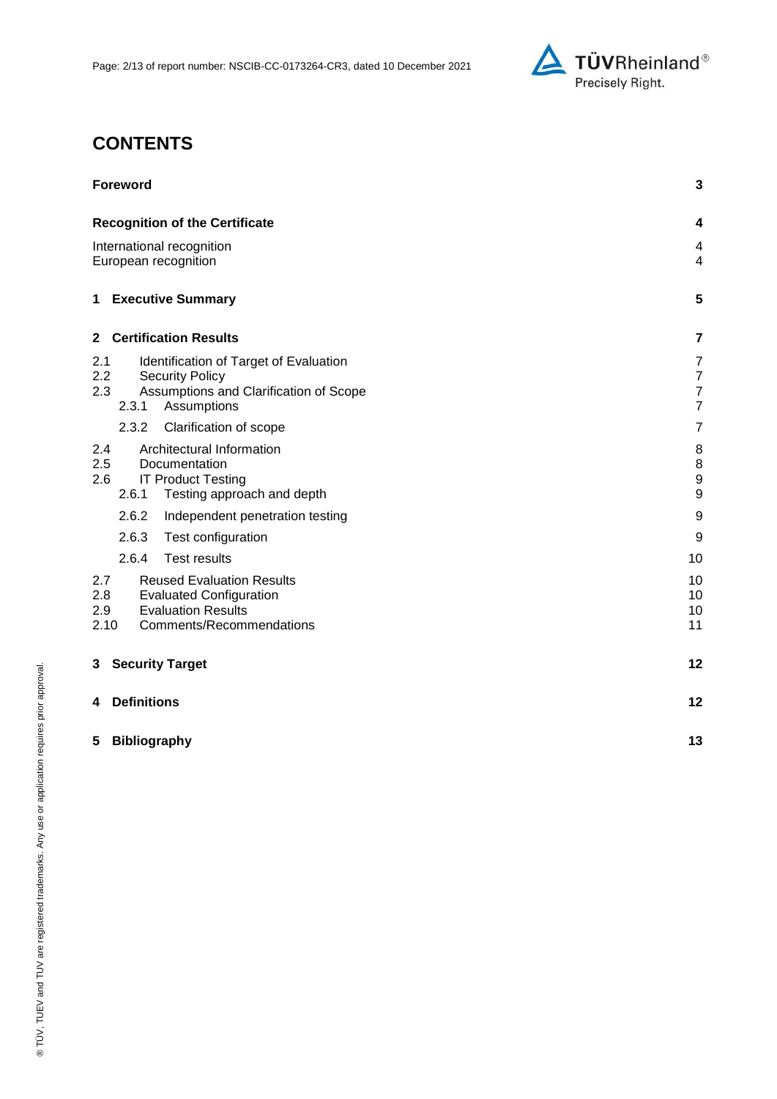

## **CONTENTS**

| <b>Foreword</b>                                                                                                                                          |                                                                      |
|----------------------------------------------------------------------------------------------------------------------------------------------------------|----------------------------------------------------------------------|
| <b>Recognition of the Certificate</b>                                                                                                                    | 4                                                                    |
| International recognition<br>European recognition                                                                                                        |                                                                      |
| 1 Executive Summary                                                                                                                                      | 5                                                                    |
| <b>Certification Results</b><br>$\mathbf{2}$                                                                                                             | 7                                                                    |
| Identification of Target of Evaluation<br>2.1<br>2.2<br><b>Security Policy</b><br>2.3<br>Assumptions and Clarification of Scope<br>2.3.1<br>Assumptions  | $\overline{7}$<br>$\overline{7}$<br>$\overline{7}$<br>$\overline{7}$ |
| 2.3.2<br>Clarification of scope                                                                                                                          | $\overline{7}$                                                       |
| Architectural Information<br>2.4<br>2.5<br>Documentation<br><b>IT Product Testing</b><br>2.6<br>2.6.1<br>Testing approach and depth                      | 8<br>8<br>$\boldsymbol{9}$<br>$\boldsymbol{9}$                       |
| 2.6.2<br>Independent penetration testing                                                                                                                 | 9                                                                    |
| 2.6.3<br>Test configuration                                                                                                                              | 9                                                                    |
| 2.6.4<br><b>Test results</b>                                                                                                                             | 10                                                                   |
| 2.7<br><b>Reused Evaluation Results</b><br>2.8<br><b>Evaluated Configuration</b><br><b>Evaluation Results</b><br>2.9<br>2.10<br>Comments/Recommendations | 10<br>10<br>10<br>11                                                 |
| <b>Security Target</b><br>3                                                                                                                              | 12                                                                   |
| <b>Definitions</b><br>4                                                                                                                                  | 12                                                                   |
| 5<br><b>Bibliography</b>                                                                                                                                 | 13                                                                   |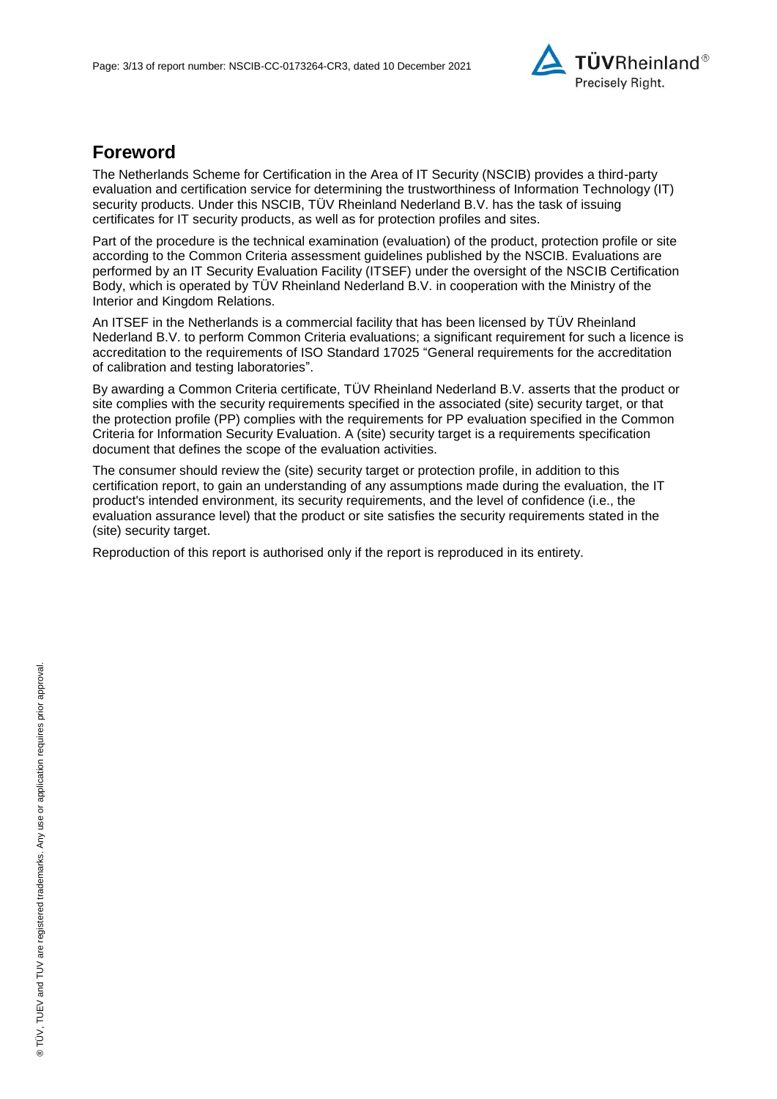

## **Foreword**

The Netherlands Scheme for Certification in the Area of IT Security (NSCIB) provides a third-party evaluation and certification service for determining the trustworthiness of Information Technology (IT) security products. Under this NSCIB, TUV Rheinland Nederland B.V. has the task of issuing certificates for IT security products, as well as for protection profiles and sites.

Part of the procedure is the technical examination (evaluation) of the product, protection profile or site according to the Common Criteria assessment guidelines published by the NSCIB. Evaluations are performed by an IT Security Evaluation Facility (ITSEF) under the oversight of the NSCIB Certification Body, which is operated by TÜV Rheinland Nederland B.V. in cooperation with the Ministry of the Interior and Kingdom Relations.

An ITSEF in the Netherlands is a commercial facility that has been licensed by TÜV Rheinland Nederland B.V. to perform Common Criteria evaluations; a significant requirement for such a licence is accreditation to the requirements of ISO Standard 17025 "General requirements for the accreditation of calibration and testing laboratories".

By awarding a Common Criteria certificate, TÜV Rheinland Nederland B.V. asserts that the product or site complies with the security requirements specified in the associated (site) security target, or that the protection profile (PP) complies with the requirements for PP evaluation specified in the Common Criteria for Information Security Evaluation. A (site) security target is a requirements specification document that defines the scope of the evaluation activities.

The consumer should review the (site) security target or protection profile, in addition to this certification report, to gain an understanding of any assumptions made during the evaluation, the IT product's intended environment, its security requirements, and the level of confidence (i.e., the evaluation assurance level) that the product or site satisfies the security requirements stated in the (site) security target.

Reproduction of this report is authorised only if the report is reproduced in its entirety.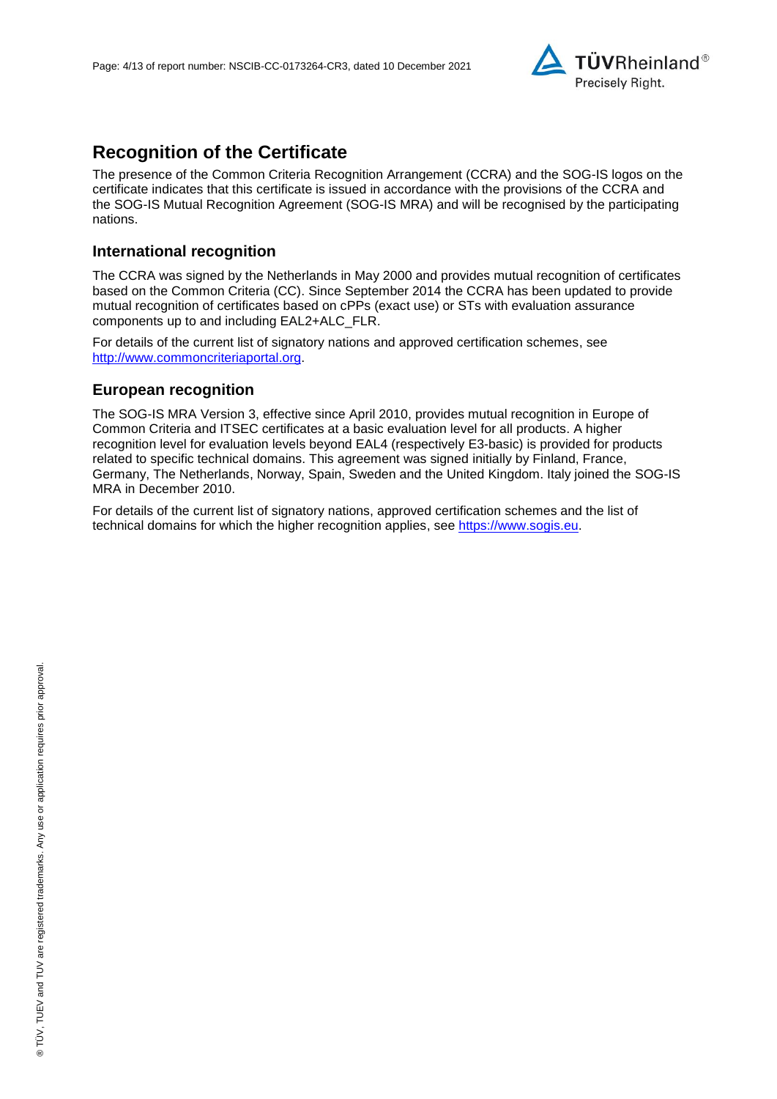

## **Recognition of the Certificate**

The presence of the Common Criteria Recognition Arrangement (CCRA) and the SOG-IS logos on the certificate indicates that this certificate is issued in accordance with the provisions of the CCRA and the SOG-IS Mutual Recognition Agreement (SOG-IS MRA) and will be recognised by the participating nations.

#### **International recognition**

The CCRA was signed by the Netherlands in May 2000 and provides mutual recognition of certificates based on the Common Criteria (CC). Since September 2014 the CCRA has been updated to provide mutual recognition of certificates based on cPPs (exact use) or STs with evaluation assurance components up to and including EAL2+ALC\_FLR.

For details of the current list of signatory nations and approved certification schemes, see [http://www.commoncriteriaportal.org.](http://www.commoncriteriaportal.org/)

#### **European recognition**

The SOG-IS MRA Version 3, effective since April 2010, provides mutual recognition in Europe of Common Criteria and ITSEC certificates at a basic evaluation level for all products. A higher recognition level for evaluation levels beyond EAL4 (respectively E3-basic) is provided for products related to specific technical domains. This agreement was signed initially by Finland, France, Germany, The Netherlands, Norway, Spain, Sweden and the United Kingdom. Italy joined the SOG-IS MRA in December 2010.

For details of the current list of signatory nations, approved certification schemes and the list of technical domains for which the higher recognition applies, see [https://www.sogis.eu.](https://www.sogis.eu/)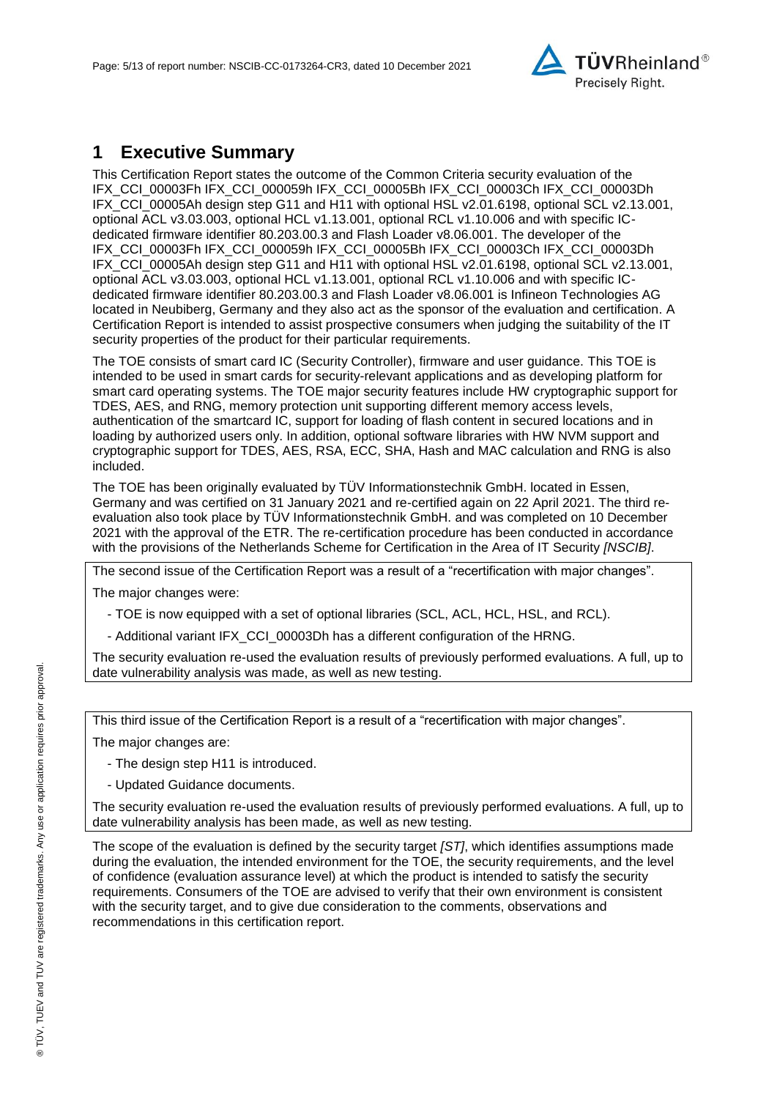

## **1 Executive Summary**

This Certification Report states the outcome of the Common Criteria security evaluation of the IFX\_CCI\_00003Fh IFX\_CCI\_000059h IFX\_CCI\_00005Bh IFX\_CCI\_00003Ch IFX\_CCI\_00003Dh IFX\_CCI\_00005Ah design step G11 and H11 with optional HSL v2.01.6198, optional SCL v2.13.001, optional ACL v3.03.003, optional HCL v1.13.001, optional RCL v1.10.006 and with specific ICdedicated firmware identifier 80.203.00.3 and Flash Loader v8.06.001. The developer of the IFX\_CCI\_00003Fh IFX\_CCI\_000059h IFX\_CCI\_00005Bh IFX\_CCI\_00003Ch IFX\_CCI\_00003Dh IFX\_CCI\_00005Ah design step G11 and H11 with optional HSL v2.01.6198, optional SCL v2.13.001, optional ACL v3.03.003, optional HCL v1.13.001, optional RCL v1.10.006 and with specific ICdedicated firmware identifier 80.203.00.3 and Flash Loader v8.06.001 is [Infineon Technologies AG](#page-0-3) located in Neubiberg, Germany and they also act as the sponsor of the evaluation and certification. A Certification Report is intended to assist prospective consumers when judging the suitability of the IT security properties of the product for their particular requirements.

<span id="page-4-0"></span>The TOE consists of smart card IC (Security Controller), firmware and user guidance. This TOE is intended to be used in smart cards for security-relevant applications and as developing platform for smart card operating systems. The TOE major security features include HW cryptographic support for TDES, AES, and RNG, memory protection unit supporting different memory access levels, authentication of the smartcard IC, support for loading of flash content in secured locations and in loading by authorized users only. In addition, optional software libraries with HW NVM support and cryptographic support for TDES, AES, RSA, ECC, SHA, Hash and MAC calculation and RNG is also included.

The TOE has been originally evaluated by TÜV Informationstechnik GmbH. located in Essen, Germany and was certified on 31 January 2021 and re-certified again on 22 April 2021. The third reevaluation also took place by TÜV Informationstechnik GmbH. and was completed on 10 December 2021 with the approval of the ETR. The re-certification procedure has been conducted in accordance with the provisions of the Netherlands Scheme for Certification in the Area of IT Security *[NSCIB]*.

The second issue of the Certification Report was a result of a "recertification with major changes". The major changes were:

- TOE is now equipped with a set of optional libraries (SCL, ACL, HCL, HSL, and RCL).

- Additional variant IFX\_CCI\_00003Dh has a different configuration of the HRNG.

The security evaluation re-used the evaluation results of previously performed evaluations. A full, up to date vulnerability analysis was made, as well as new testing.

This third issue of the Certification Report is a result of a "recertification with major changes".

The major changes are:

- The design step H11 is introduced.
- Updated Guidance documents.

The security evaluation re-used the evaluation results of previously performed evaluations. A full, up to date vulnerability analysis has been made, as well as new testing.

The scope of the evaluation is defined by the security target *[ST]*, which identifies assumptions made during the evaluation, the intended environment for the TOE, the security requirements, and the level of confidence (evaluation assurance level) at which the product is intended to satisfy the security requirements. Consumers of the TOE are advised to verify that their own environment is consistent with the security target, and to give due consideration to the comments, observations and recommendations in this certification report.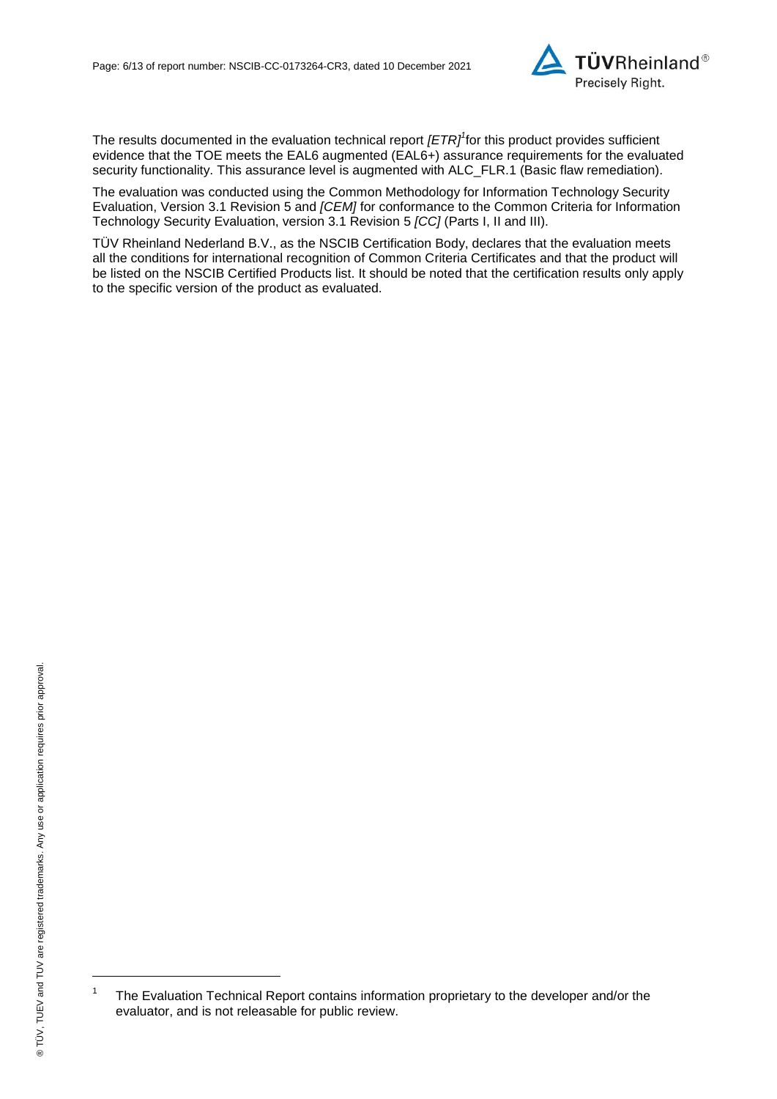

<span id="page-5-0"></span>The results documented in the evaluation technical report *[ETR]<sup>1</sup>* for this product provides sufficient evidence that the TOE meets the EAL6 augmented (EA[L6+](#page-5-0)) assurance requirements for the evaluated security functionality. This assurance level is augmented with ALC\_FLR.1 (Basic flaw remediation).

<span id="page-5-1"></span>The evaluation was conducted using the Common Methodology for Information Technology Security Evaluation, Version 3.1 Revision 5 and *[CEM]* for conformance to the Common Criteria for Information Technology Security Evaluation, version 3.1 Revision [5](#page-5-1) *[CC]* (Parts I, II and III).

TÜV Rheinland Nederland B.V., as the NSCIB Certification Body, declares that the evaluation meets all the conditions for international recognition of Common Criteria Certificates and that the product will be listed on the NSCIB Certified Products list. It should be noted that the certification results only apply to the specific version of the product as evaluated.

l

<sup>1</sup> The Evaluation Technical Report contains information proprietary to the developer and/or the evaluator, and is not releasable for public review.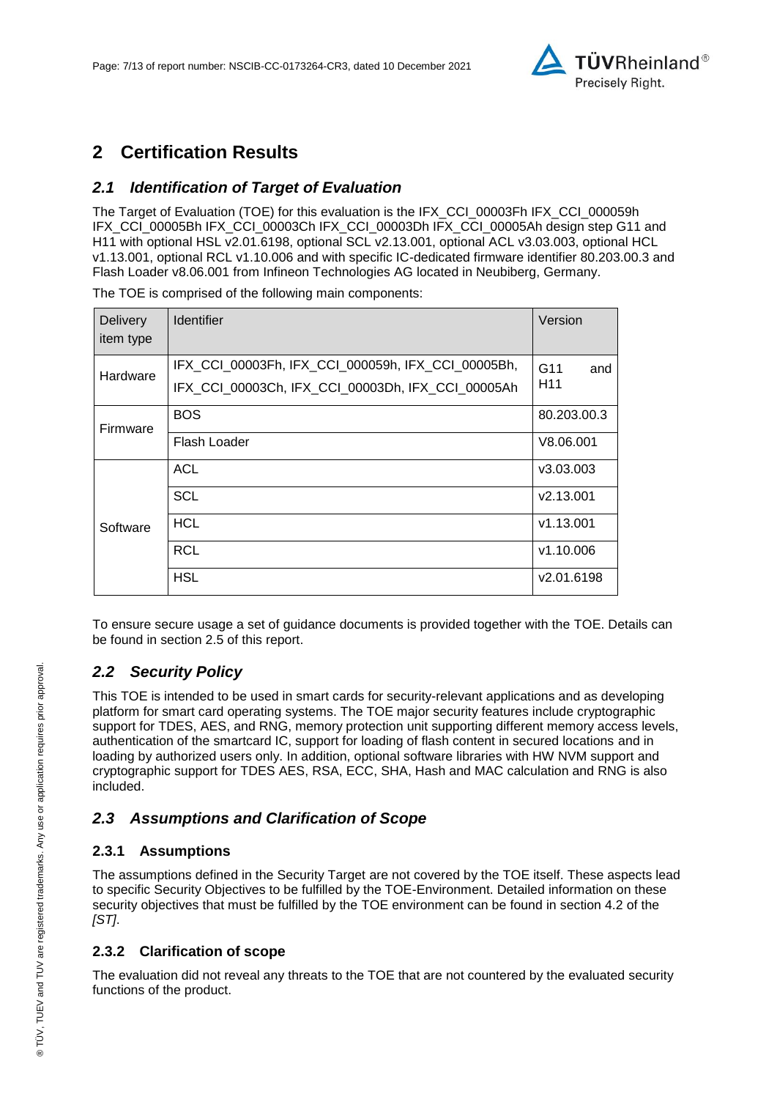

## **2 Certification Results**

### *2.1 Identification of Target of Evaluation*

The Target of Evaluation (TOE) for this evaluation is the IFX\_CCI\_00003Fh IFX\_CCI\_000059h IFX\_CCI\_00005Bh IFX\_CCI\_00003Ch IFX\_CCI\_00003Dh IFX\_CCI\_00005Ah design step G11 and H11 with optional HSL v2.01.6198, optional SCL v2.13.001, optional ACL v3.03.003, optional HCL v1.13.001, optional RCL v1.10.006 and with specific IC-dedicated firmware identifier 80.203.00.3 and Flash Loader v8.06.001 from [Infineon Technologies AG](#page-0-3) located in [Neubiberg, Germany.](#page-4-0)

**Delivery** item type Identifier **Version Hardware** IFX\_CCI\_00003Fh, IFX\_CCI\_000059h, IFX\_CCI\_00005Bh, IFX\_CCI\_00003Ch, IFX\_CCI\_00003Dh, IFX\_CCI\_00005Ah G11 and H11 Firmware BOS 80.203.00.3 Flash Loader V8.06.001 **Software** ACL v3.03.003 SCL v2.13.001 HCL v1.13.001 RCL v1.10.006 HSL v2.01.6198

The TOE is comprised of the following main components:

To ensure secure usage a set of guidance documents is provided together with the TOE. Details can be found in section 2.5 of this report.

### *2.2 Security Policy*

This TOE is intended to be used in smart cards for security-relevant applications and as developing platform for smart card operating systems. The TOE major security features include cryptographic support for TDES, AES, and RNG, memory protection unit supporting different memory access levels, authentication of the smartcard IC, support for loading of flash content in secured locations and in loading by authorized users only. In addition, optional software libraries with HW NVM support and cryptographic support for TDES AES, RSA, ECC, SHA, Hash and MAC calculation and RNG is also included.

#### *2.3 Assumptions and Clarification of Scope*

#### **2.3.1 Assumptions**

The assumptions defined in the Security Target are not covered by the TOE itself. These aspects lead to specific Security Objectives to be fulfilled by the TOE-Environment. Detailed information on these security objectives that must be fulfilled by the TOE environment can be found in section 4.2 of the *[ST]*.

#### **2.3.2 Clarification of scope**

The evaluation did not reveal any threats to the TOE that are not countered by the evaluated security functions of the product.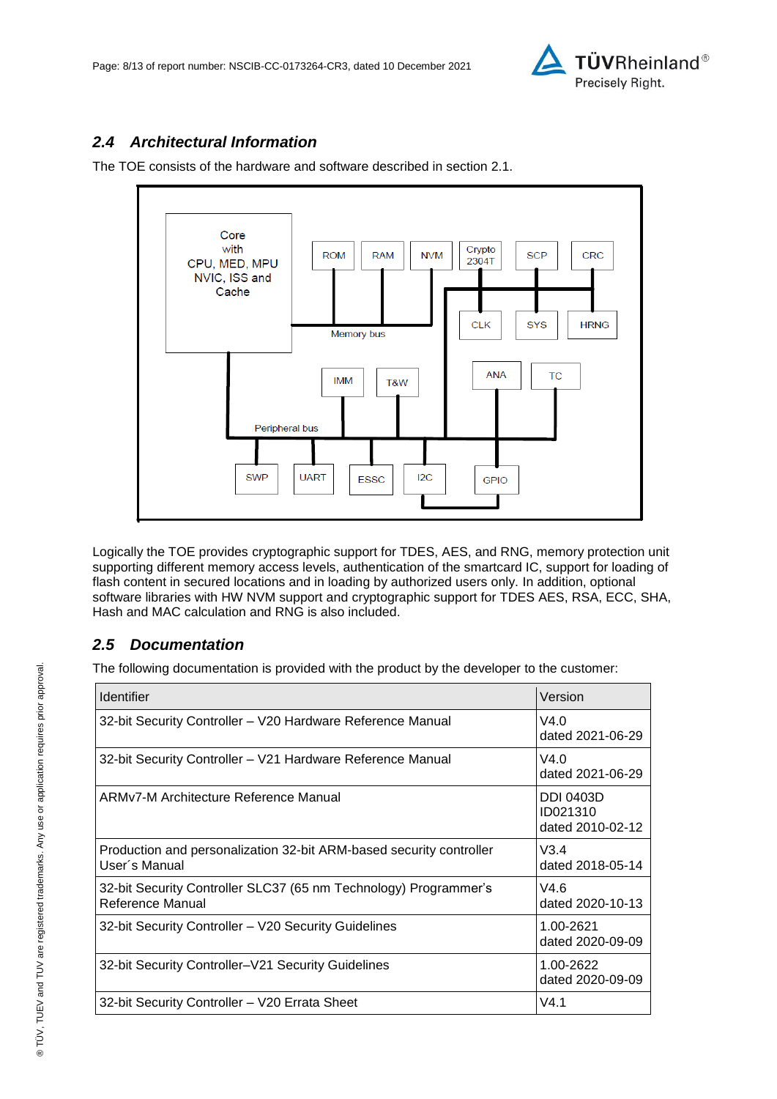

### *2.4 Architectural Information*

The TOE consists of the hardware and software described in section 2.1.



Logically the TOE provides cryptographic support for TDES, AES, and RNG, memory protection unit supporting different memory access levels, authentication of the smartcard IC, support for loading of flash content in secured locations and in loading by authorized users only. In addition, optional software libraries with HW NVM support and cryptographic support for TDES AES, RSA, ECC, SHA, Hash and MAC calculation and RNG is also included.

#### *2.5 Documentation*

The following documentation is provided with the product by the developer to the customer:

| <b>Identifier</b>                                                                    | Version                                          |
|--------------------------------------------------------------------------------------|--------------------------------------------------|
| 32-bit Security Controller - V20 Hardware Reference Manual                           | V4.0<br>dated 2021-06-29                         |
| 32-bit Security Controller - V21 Hardware Reference Manual                           | V4.0<br>dated 2021-06-29                         |
| ARMv7-M Architecture Reference Manual                                                | <b>DDI 0403D</b><br>ID021310<br>dated 2010-02-12 |
| Production and personalization 32-bit ARM-based security controller<br>User's Manual | V3.4<br>dated 2018-05-14                         |
| 32-bit Security Controller SLC37 (65 nm Technology) Programmer's<br>Reference Manual | V4.6<br>dated 2020-10-13                         |
| 32-bit Security Controller - V20 Security Guidelines                                 | 1.00-2621<br>dated 2020-09-09                    |
| 32-bit Security Controller-V21 Security Guidelines                                   | 1.00-2622<br>dated 2020-09-09                    |
| 32-bit Security Controller - V20 Errata Sheet                                        | V4.1                                             |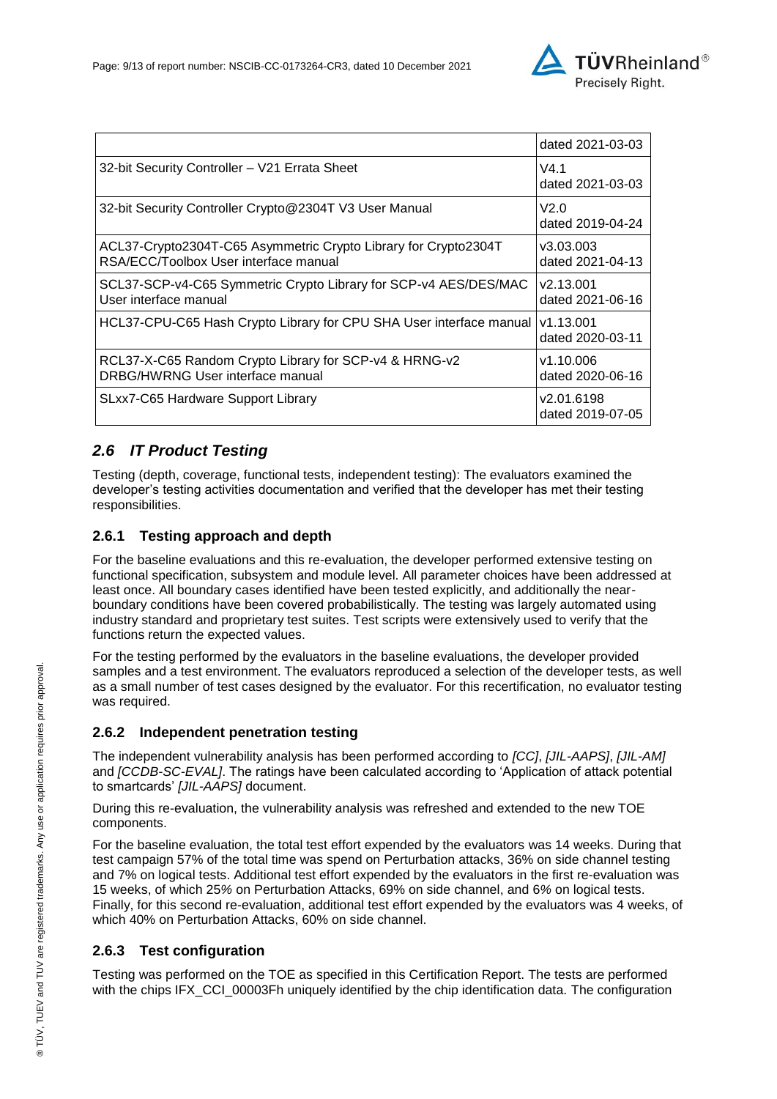

|                                                                                                          | dated 2021-03-03               |
|----------------------------------------------------------------------------------------------------------|--------------------------------|
| 32-bit Security Controller - V21 Errata Sheet                                                            | V4.1<br>dated 2021-03-03       |
| 32-bit Security Controller Crypto@2304T V3 User Manual                                                   | V2.0<br>dated 2019-04-24       |
| ACL37-Crypto2304T-C65 Asymmetric Crypto Library for Crypto2304T<br>RSA/ECC/Toolbox User interface manual | v3.03.003<br>dated 2021-04-13  |
| SCL37-SCP-v4-C65 Symmetric Crypto Library for SCP-v4 AES/DES/MAC<br>User interface manual                | v2.13.001<br>dated 2021-06-16  |
| HCL37-CPU-C65 Hash Crypto Library for CPU SHA User interface manual                                      | v1.13.001<br>dated 2020-03-11  |
| RCL37-X-C65 Random Crypto Library for SCP-v4 & HRNG-v2<br>DRBG/HWRNG User interface manual               | v1.10.006<br>dated 2020-06-16  |
| SLxx7-C65 Hardware Support Library                                                                       | v2.01.6198<br>dated 2019-07-05 |

### *2.6 IT Product Testing*

Testing (depth, coverage, functional tests, independent testing): The evaluators examined the developer's testing activities documentation and verified that the developer has met their testing responsibilities.

#### **2.6.1 Testing approach and depth**

For the baseline evaluations and this re-evaluation, the developer performed extensive testing on functional specification, subsystem and module level. All parameter choices have been addressed at least once. All boundary cases identified have been tested explicitly, and additionally the nearboundary conditions have been covered probabilistically. The testing was largely automated using industry standard and proprietary test suites. Test scripts were extensively used to verify that the functions return the expected values.

For the testing performed by the evaluators in the baseline evaluations, the developer provided samples and a test environment. The evaluators reproduced a selection of the developer tests, as well as a small number of test cases designed by the evaluator. For this recertification, no evaluator testing was required.

#### **2.6.2 Independent penetration testing**

The independent vulnerability analysis has been performed according to *[CC]*, *[JIL-AAPS]*, *[JIL-AM]* and *[CCDB-SC-EVAL]*. The ratings have been calculated according to 'Application of attack potential to smartcards' *[JIL-AAPS]* document.

During this re-evaluation, the vulnerability analysis was refreshed and extended to the new TOE components.

For the baseline evaluation, the total test effort expended by the evaluators was 14 weeks. During that test campaign 57% of the total time was spend on Perturbation attacks, 36% on side channel testing and 7% on logical tests. Additional test effort expended by the evaluators in the first re-evaluation was 15 weeks, of which 25*%* on Perturbation Attacks, 69% on side channel, and 6*%* on logical tests. Finally, for this second re-evaluation, additional test effort expended by the evaluators was 4 weeks, of which 40% on Perturbation Attacks, 60% on side channel.

#### **2.6.3 Test configuration**

Testing was performed on the TOE as specified in this Certification Report. The tests are performed with the chips IFX\_CCI\_00003Fh uniquely identified by the chip identification data. The configuration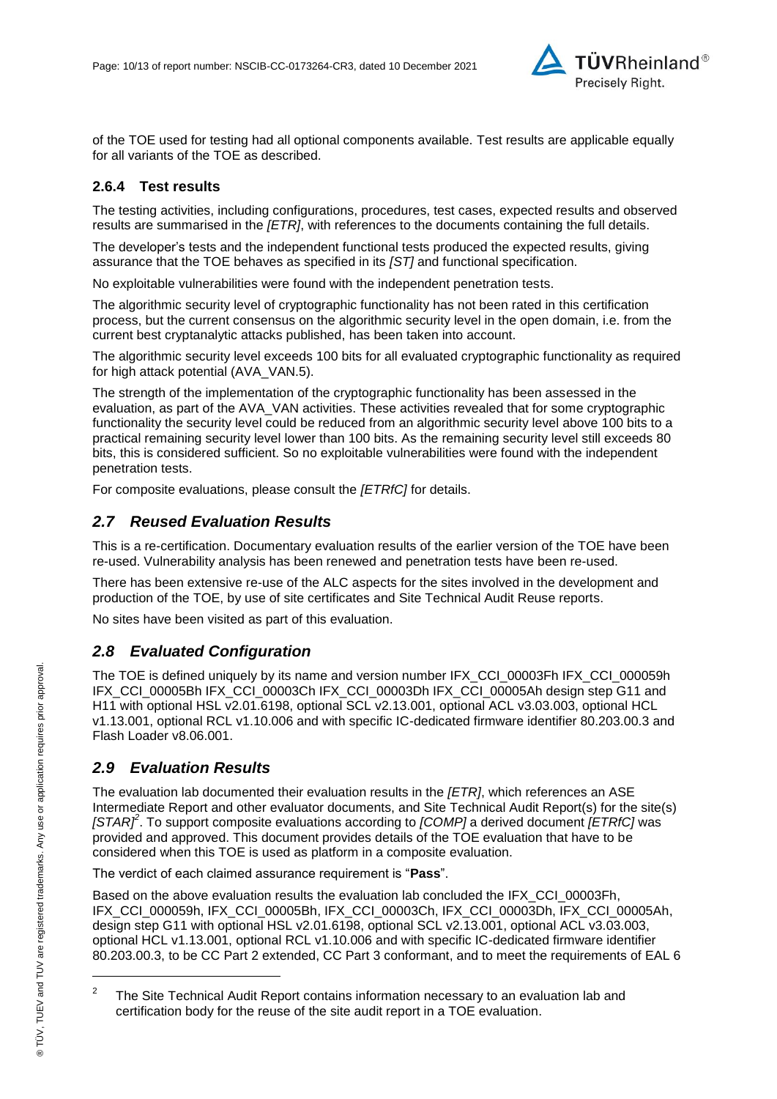

of the TOE used for testing had all optional components available. Test results are applicable equally for all variants of the TOE as described.

#### **2.6.4 Test results**

The testing activities, including configurations, procedures, test cases, expected results and observed results are summarised in the *[ETR]*, with references to the documents containing the full details.

The developer's tests and the independent functional tests produced the expected results, giving assurance that the TOE behaves as specified in its *[ST]* and functional specification.

No exploitable vulnerabilities were found with the independent penetration tests.

The algorithmic security level of cryptographic functionality has not been rated in this certification process, but the current consensus on the algorithmic security level in the open domain, i.e. from the current best cryptanalytic attacks published, has been taken into account.

The algorithmic security level exceeds 100 bits for all evaluated cryptographic functionality as required for high attack potential (AVA\_VAN.5).

The strength of the implementation of the cryptographic functionality has been assessed in the evaluation, as part of the AVA\_VAN activities. These activities revealed that for some cryptographic functionality the security level could be reduced from an algorithmic security level above 100 bits to a practical remaining security level lower than 100 bits. As the remaining security level still exceeds 80 bits, this is considered sufficient. So no exploitable vulnerabilities were found with the independent penetration tests.

For composite evaluations, please consult the *[ETRfC]* for details.

#### *2.7 Reused Evaluation Results*

This is a re-certification. Documentary evaluation results of the earlier version of the TOE have been re-used. Vulnerability analysis has been renewed and penetration tests have been re-used.

There has been extensive re-use of the ALC aspects for the sites involved in the development and production of the TOE, by use of site certificates and Site Technical Audit Reuse reports.

No sites have been visited as part of this evaluation.

#### *2.8 Evaluated Configuration*

The TOE is defined uniquely by its name and version number IFX\_CCI\_00003Fh IFX\_CCI\_000059h IFX\_CCI\_00005Bh IFX\_CCI\_00003Ch IFX\_CCI\_00003Dh IFX\_CCI\_00005Ah design step G11 and H11 with optional HSL v2.01.6198, optional SCL v2.13.001, optional ACL v3.03.003, optional HCL v1.13.001, optional RCL v1.10.006 and with specific IC-dedicated firmware identifier 80.203.00.3 and Flash Loader v8.06.001.

#### *2.9 Evaluation Results*

The evaluation lab documented their evaluation results in the *[ETR]*, which references an ASE Intermediate Report and other evaluator documents, and Site Technical Audit Report(s) for the site(s) *[STAR]<sup>2</sup>* . To support composite evaluations according to *[COMP]* a derived document *[ETRfC]* was provided and approved. This document provides details of the TOE evaluation that have to be considered when this TOE is used as platform in a composite evaluation.

The verdict of each claimed assurance requirement is "**Pass**".

Based on the above evaluation results the evaluation lab concluded the IFX\_CCI\_00003Fh, IFX\_CCI\_000059h, IFX\_CCI\_00005Bh, IFX\_CCI\_00003Ch, IFX\_CCI\_00003Dh, IFX\_CCI\_00005Ah, design step G11 with optional HSL v2.01.6198, optional SCL v2.13.001, optional ACL v3.03.003, optional HCL v1.13.001, optional RCL v1.10.006 and with specific IC-dedicated firmware identifier 80.203.00.3, to be CC Part 2 extended, CC Part 3 conformant, and to meet the requirements of EAL [6](#page-5-0)

l

<sup>2</sup> The Site Technical Audit Report contains information necessary to an evaluation lab and certification body for the reuse of the site audit report in a TOE evaluation.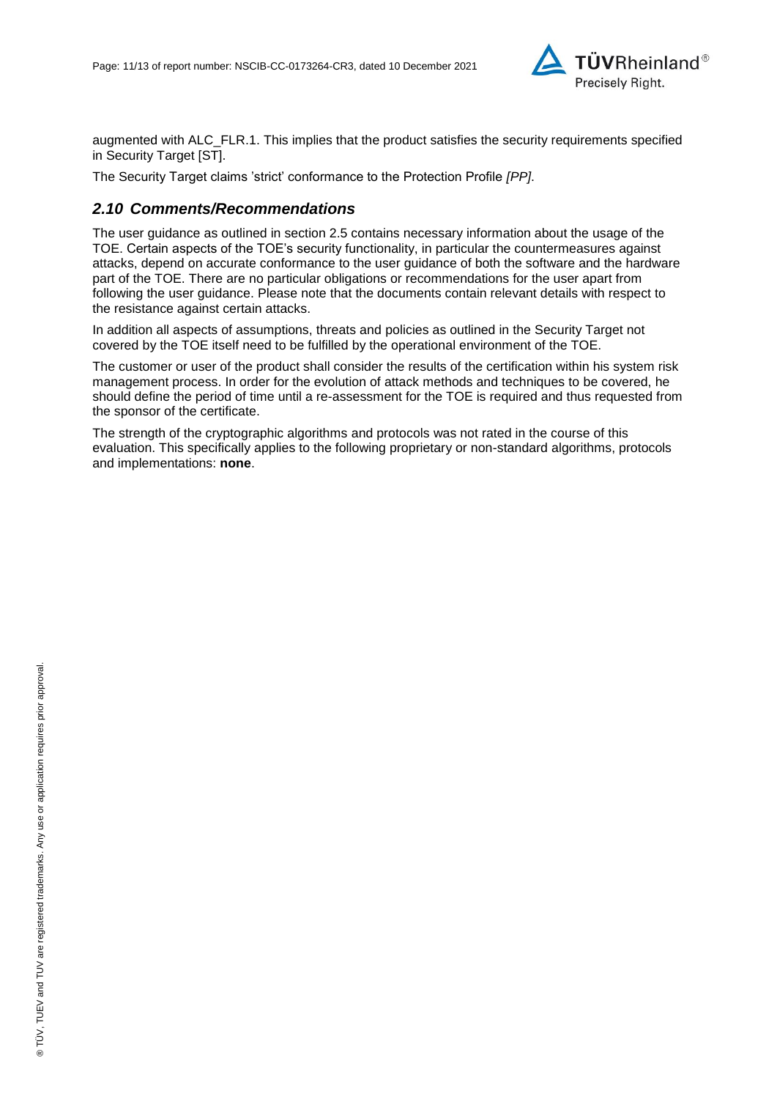

augmented with ALC\_FLR.1. This implies that the product satisfies the security requirements specified in Security Target [ST].

The Security Target claims 'strict' conformance to the Protection Profile *[PP]*.

#### *2.10 Comments/Recommendations*

The user guidance as outlined in section 2.5 contains necessary information about the usage of the TOE. Certain aspects of the TOE's security functionality, in particular the countermeasures against attacks, depend on accurate conformance to the user guidance of both the software and the hardware part of the TOE. There are no particular obligations or recommendations for the user apart from following the user guidance. Please note that the documents contain relevant details with respect to the resistance against certain attacks.

In addition all aspects of assumptions, threats and policies as outlined in the Security Target not covered by the TOE itself need to be fulfilled by the operational environment of the TOE.

The customer or user of the product shall consider the results of the certification within his system risk management process. In order for the evolution of attack methods and techniques to be covered, he should define the period of time until a re-assessment for the TOE is required and thus requested from the sponsor of the certificate.

The strength of the cryptographic algorithms and protocols was not rated in the course of this evaluation. This specifically applies to the following proprietary or non-standard algorithms, protocols and implementations: **none**.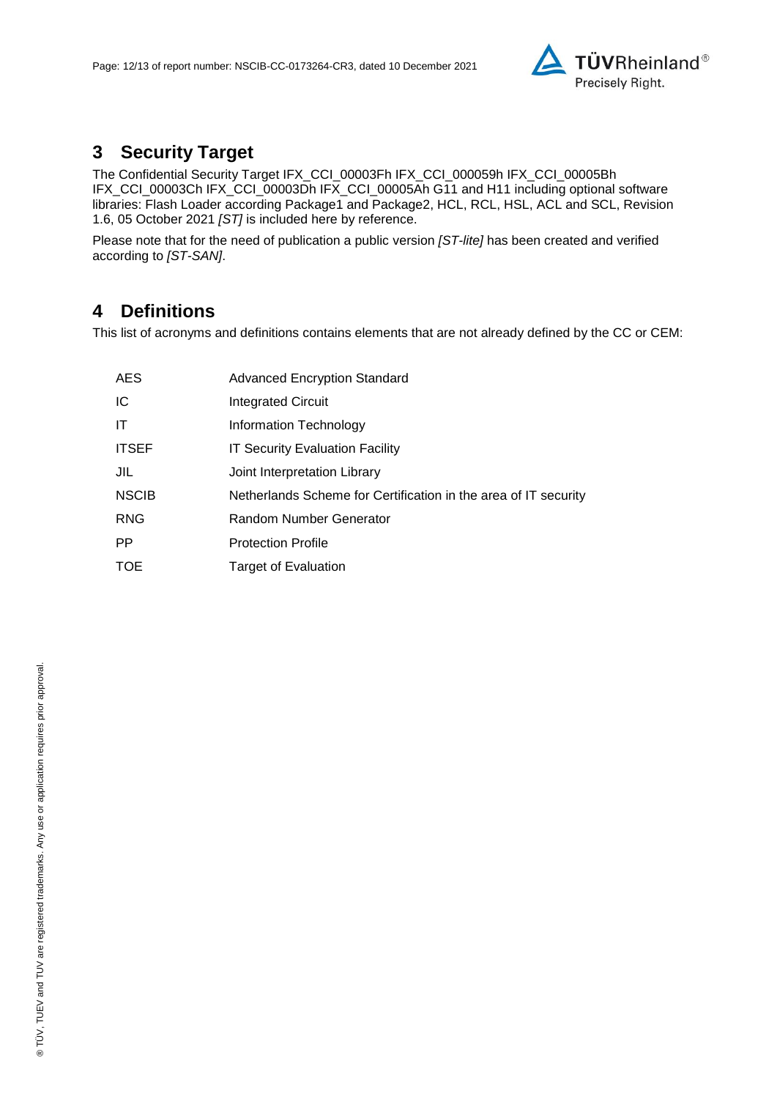

## **3 Security Target**

The Confidential Security Target IFX\_CCI\_00003Fh IFX\_CCI\_000059h IFX\_CCI\_00005Bh IFX\_CCI\_00003Ch IFX\_CCI\_00003Dh IFX\_CCI\_00005Ah G11 and H11 including optional software libraries: Flash Loader according Package1 and Package2, HCL, RCL, HSL, ACL and SCL, Revision 1.6, 05 October 2021 *[ST]* is included here by reference.

Please note that for the need of publication a public version *[ST-lite]* has been created and verified according to *[ST-SAN]*.

### **4 Definitions**

This list of acronyms and definitions contains elements that are not already defined by the CC or CEM:

| <b>AES</b>   | <b>Advanced Encryption Standard</b>                             |
|--------------|-----------------------------------------------------------------|
| IC           | <b>Integrated Circuit</b>                                       |
| ΙT           | Information Technology                                          |
| <b>ITSEF</b> | <b>IT Security Evaluation Facility</b>                          |
| JIL          | Joint Interpretation Library                                    |
| <b>NSCIB</b> | Netherlands Scheme for Certification in the area of IT security |
| <b>RNG</b>   | Random Number Generator                                         |
| PP.          | <b>Protection Profile</b>                                       |
| <b>TOE</b>   | Target of Evaluation                                            |